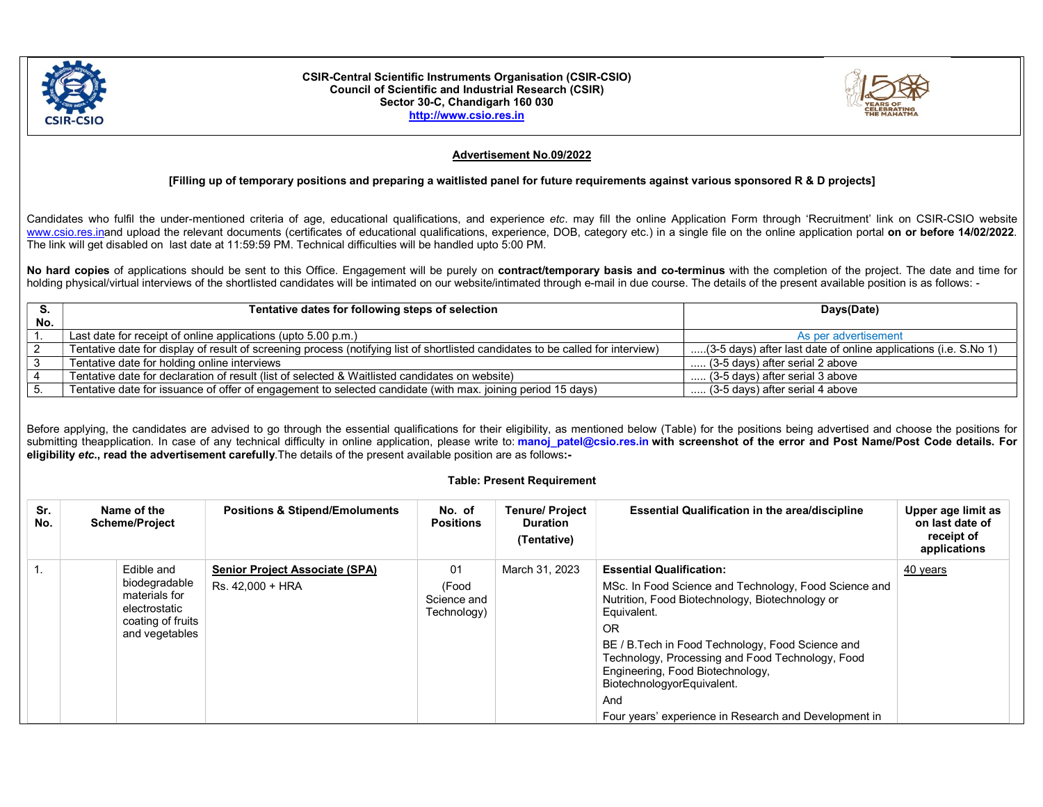

#### CSIR-Central Scientific Instruments Organisation (CSIR-CSIO) Council of Scientific and Industrial Research (CSIR) Sector 30-C, Chandigarh 160 030 http://www.csio.res.in



# Advertisement No.09/2022

## [Filling up of temporary positions and preparing a waitlisted panel for future requirements against various sponsored R & D projects]

Candidates who fulfil the under-mentioned criteria of age, educational qualifications, and experience etc. may fill the online Application Form through 'Recruitment' link on CSIR-CSIO website www.csio.res.inand upload the relevant documents (certificates of educational qualifications, experience, DOB, category etc.) in a single file on the online application portal on or before 14/02/2022. The link will get disabled on last date at 11:59:59 PM. Technical difficulties will be handled upto 5:00 PM.

No hard copies of applications should be sent to this Office. Engagement will be purely on contract/temporary basis and co-terminus with the completion of the project. The date and time for holding physical/virtual interviews of the shortlisted candidates will be intimated on our website/intimated through e-mail in due course. The details of the present available position is as follows: -

| S.  | Tentative dates for following steps of selection                                                                                | Days(Date)                                                      |  |
|-----|---------------------------------------------------------------------------------------------------------------------------------|-----------------------------------------------------------------|--|
| No. |                                                                                                                                 |                                                                 |  |
|     | Last date for receipt of online applications (upto 5.00 p.m.)                                                                   | As per advertisement                                            |  |
|     | Tentative date for display of result of screening process (notifying list of shortlisted candidates to be called for interview) | (3-5 days) after last date of online applications (i.e. S.No 1) |  |
|     | Tentative date for holding online interviews                                                                                    | $\ldots$ (3-5 days) after serial 2 above                        |  |
|     | Tentative date for declaration of result (list of selected & Waitlisted candidates on website)                                  | (3-5 days) after serial 3 above                                 |  |
|     | Tentative date for issuance of offer of engagement to selected candidate (with max. joining period 15 days)                     | (3-5 days) after serial 4 above                                 |  |

Before applying, the candidates are advised to go through the essential qualifications for their eligibility, as mentioned below (Table) for the positions being advertised and choose the positions for submitting theapplication. In case of any technical difficulty in online application, please write to: manoj patel@csio.res.in with screenshot of the error and Post Name/Post Code details. For eligibility etc., read the advertisement carefully.The details of the present available position are as follows:-

### Table: Present Requirement

| Sr.<br>No. | Name of the<br><b>Scheme/Project</b>                                                   | <b>Positions &amp; Stipend/Emoluments</b> | No. of<br><b>Positions</b>          | <b>Tenure/ Project</b><br><b>Duration</b><br>(Tentative) | <b>Essential Qualification in the area/discipline</b>                                                                                                                                                                                                                                                                                                                           | Upper age limit as<br>on last date of<br>receipt of<br>applications |
|------------|----------------------------------------------------------------------------------------|-------------------------------------------|-------------------------------------|----------------------------------------------------------|---------------------------------------------------------------------------------------------------------------------------------------------------------------------------------------------------------------------------------------------------------------------------------------------------------------------------------------------------------------------------------|---------------------------------------------------------------------|
|            | Edible and                                                                             | <b>Senior Project Associate (SPA)</b>     | 01                                  | March 31, 2023                                           | <b>Essential Qualification:</b>                                                                                                                                                                                                                                                                                                                                                 | 40 years                                                            |
|            | biodegradable<br>materials for<br>electrostatic<br>coating of fruits<br>and vegetables | Rs. 42.000 + HRA                          | (Food<br>Science and<br>Technology) |                                                          | MSc. In Food Science and Technology, Food Science and<br>Nutrition, Food Biotechnology, Biotechnology or<br>Equivalent.<br><b>OR</b><br>BE / B. Tech in Food Technology, Food Science and<br>Technology, Processing and Food Technology, Food<br>Engineering, Food Biotechnology,<br>BiotechnologyorEquivalent.<br>And<br>Four years' experience in Research and Development in |                                                                     |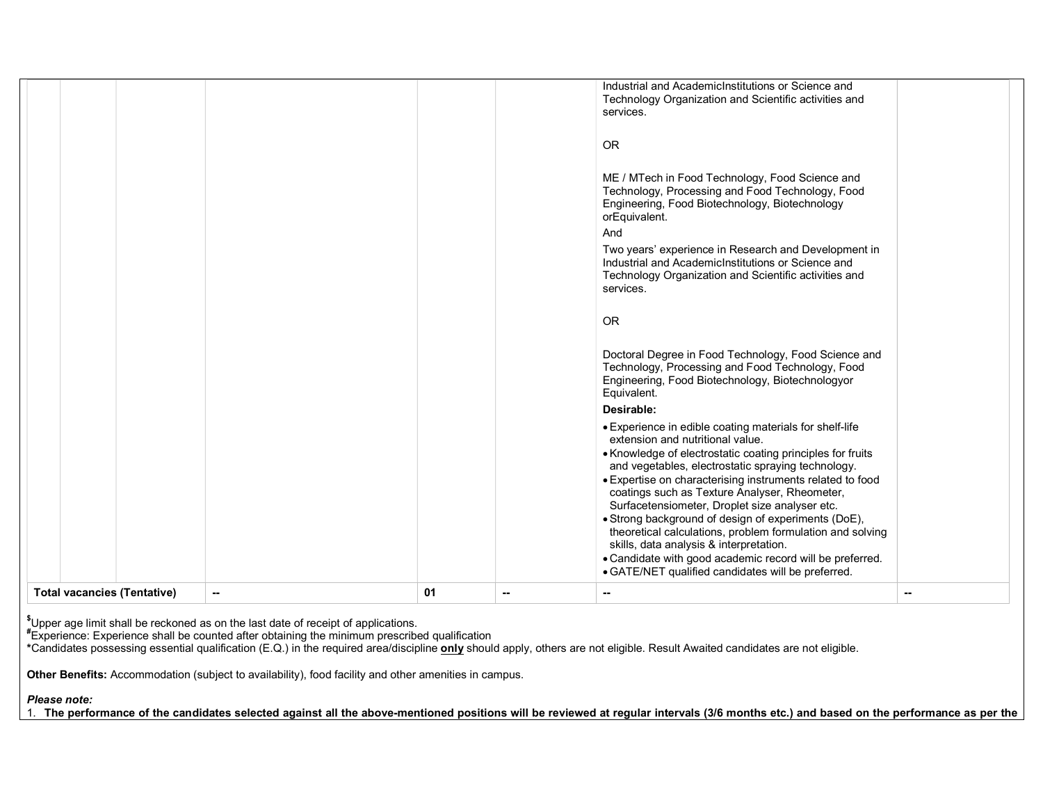|  | theoretical calculations, problem formulation and solving<br>skills, data analysis & interpretation.<br>• Candidate with good academic record will be preferred.<br>• GATE/NET qualified candidates will be preferred.                                                                                                                                                                                                                 |
|--|----------------------------------------------------------------------------------------------------------------------------------------------------------------------------------------------------------------------------------------------------------------------------------------------------------------------------------------------------------------------------------------------------------------------------------------|
|  | • Experience in edible coating materials for shelf-life<br>extension and nutritional value.<br>• Knowledge of electrostatic coating principles for fruits<br>and vegetables, electrostatic spraying technology.<br>• Expertise on characterising instruments related to food<br>coatings such as Texture Analyser, Rheometer,<br>Surfacetensiometer, Droplet size analyser etc.<br>• Strong background of design of experiments (DoE), |
|  | Desirable:                                                                                                                                                                                                                                                                                                                                                                                                                             |
|  | Doctoral Degree in Food Technology, Food Science and<br>Technology, Processing and Food Technology, Food<br>Engineering, Food Biotechnology, Biotechnologyor<br>Equivalent.                                                                                                                                                                                                                                                            |
|  | <b>OR</b>                                                                                                                                                                                                                                                                                                                                                                                                                              |
|  | Two years' experience in Research and Development in<br>Industrial and AcademicInstitutions or Science and<br>Technology Organization and Scientific activities and<br>services.                                                                                                                                                                                                                                                       |
|  | ME / MTech in Food Technology, Food Science and<br>Technology, Processing and Food Technology, Food<br>Engineering, Food Biotechnology, Biotechnology<br>orEquivalent.<br>And                                                                                                                                                                                                                                                          |
|  | <b>OR</b>                                                                                                                                                                                                                                                                                                                                                                                                                              |
|  | Industrial and AcademicInstitutions or Science and<br>Technology Organization and Scientific activities and<br>services.                                                                                                                                                                                                                                                                                                               |

 $\rm \H_2$ Upper age limit shall be reckoned as on the last date of receipt of applications.

 $^\text{\#}$ Experience: Experience shall be counted after obtaining the minimum prescribed qualification

\*Candidates possessing essential qualification (E.Q.) in the required area/discipline only should apply, others are not eligible. Result Awaited candidates are not eligible.

Other Benefits: Accommodation (subject to availability), food facility and other amenities in campus.

Please note:

1. The performance of the candidates selected against all the above-mentioned positions will be reviewed at regular intervals (3/6 months etc.) and based on the performance as per the